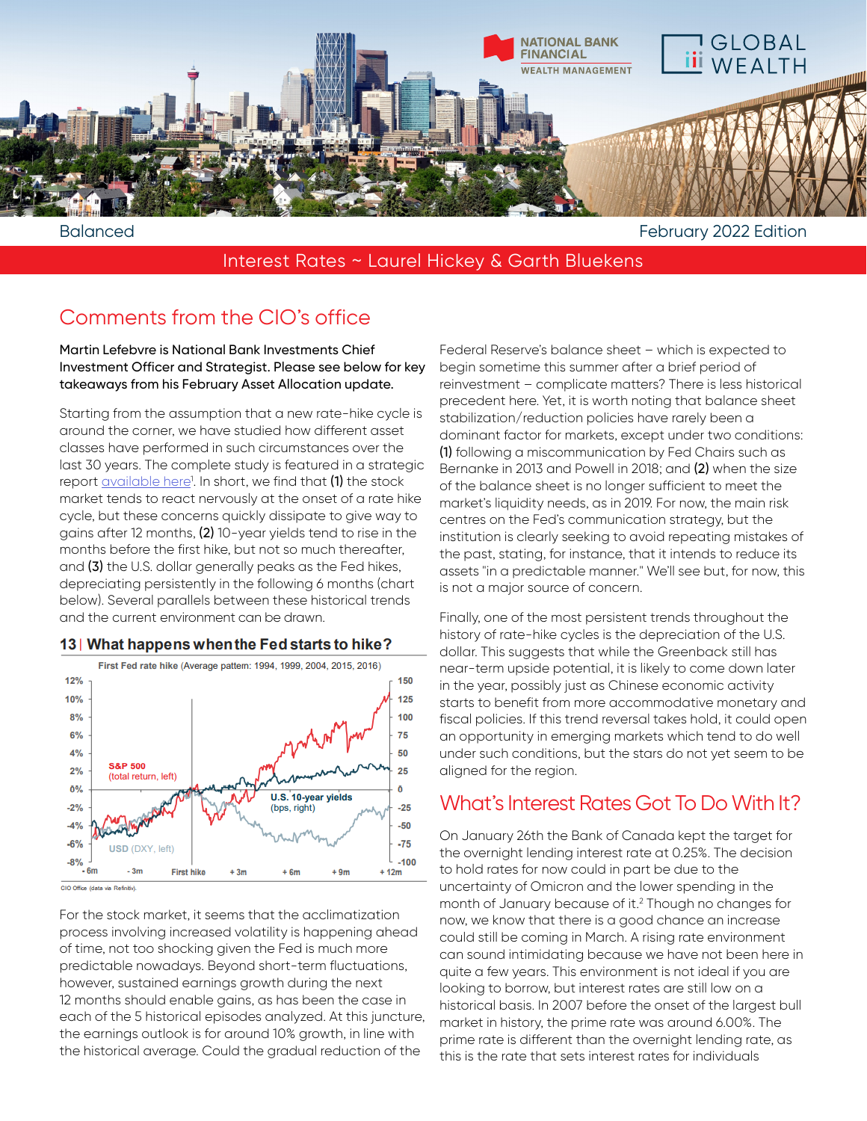

Interest Rates ~ Laurel Hickey & Garth Bluekens

## Comments from the CIO's office

Martin Lefebvre is National Bank Investments Chief Investment Officer and Strategist. Please see below for key takeaways from his February Asset Allocation update.

Starting from the assumption that a new rate-hike cycle is around the corner, we have studied how different asset classes have performed in such circumstances over the last 30 years. The complete study is featured in a strategic report <u>available here</u>!. In short, we find that **(1)** the stock market tends to react nervously at the onset of a rate hike cycle, but these concerns quickly dissipate to give way to gains after 12 months, (2) 10-year yields tend to rise in the months before the first hike, but not so much thereafter, and (3) the U.S. dollar generally peaks as the Fed hikes, depreciating persistently in the following 6 months (chart below). Several parallels between these historical trends and the current environment can be drawn.



## 13 What happens when the Fed starts to hike?

CIO Office (data via Refinitiv)

For the stock market, it seems that the acclimatization process involving increased volatility is happening ahead of time, not too shocking given the Fed is much more predictable nowadays. Beyond short-term fluctuations, however, sustained earnings growth during the next 12 months should enable gains, as has been the case in each of the 5 historical episodes analyzed. At this juncture, the earnings outlook is for around 10% growth, in line with the historical average. Could the gradual reduction of the

Federal Reserve's balance sheet – which is expected to begin sometime this summer after a brief period of reinvestment – complicate matters? There is less historical precedent here. Yet, it is worth noting that balance sheet stabilization/reduction policies have rarely been a dominant factor for markets, except under two conditions: (1) following a miscommunication by Fed Chairs such as Bernanke in 2013 and Powell in 2018; and (2) when the size of the balance sheet is no longer sufficient to meet the market's liquidity needs, as in 2019. For now, the main risk centres on the Fed's communication strategy, but the institution is clearly seeking to avoid repeating mistakes of the past, stating, for instance, that it intends to reduce its assets "in a predictable manner." We'll see but, for now, this is not a major source of concern.

Finally, one of the most persistent trends throughout the history of rate-hike cycles is the depreciation of the U.S. dollar. This suggests that while the Greenback still has near-term upside potential, it is likely to come down later in the year, possibly just as Chinese economic activity starts to benefit from more accommodative monetary and fiscal policies. If this trend reversal takes hold, it could open an opportunity in emerging markets which tend to do well under such conditions, but the stars do not yet seem to be aligned for the region.

## What's Interest Rates Got To Do With It?

On January 26th the Bank of Canada kept the target for the overnight lending interest rate at 0.25%. The decision to hold rates for now could in part be due to the uncertainty of Omicron and the lower spending in the month of January because of it.2 Though no changes for now, we know that there is a good chance an increase could still be coming in March. A rising rate environment can sound intimidating because we have not been here in quite a few years. This environment is not ideal if you are looking to borrow, but interest rates are still low on a historical basis. In 2007 before the onset of the largest bull market in history, the prime rate was around 6.00%. The prime rate is different than the overnight lending rate, as this is the rate that sets interest rates for individuals